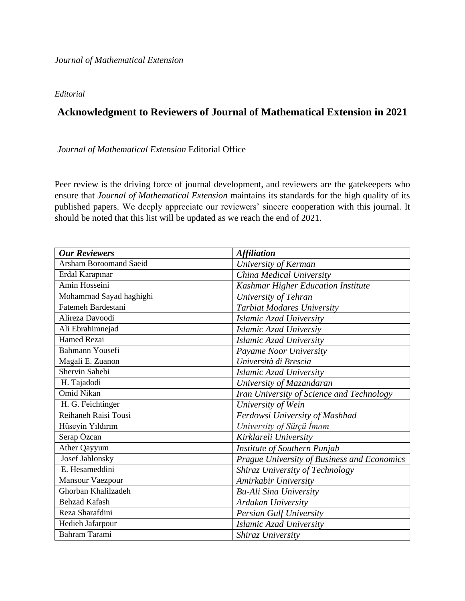## *Editorial*

## **Acknowledgment to Reviewers of Journal of Mathematical Extension in 2021**

*Journal of Mathematical Extension* Editorial Office

Peer review is the driving force of journal development, and reviewers are the gatekeepers who ensure that *Journal of Mathematical Extension* maintains its standards for the high quality of its published papers. We deeply appreciate our reviewers' sincere cooperation with this journal. It should be noted that this list will be updated as we reach the end of 2021.

| <b>Our Reviewers</b>          | <b>Affiliation</b>                          |
|-------------------------------|---------------------------------------------|
| <b>Arsham Boroomand Saeid</b> | University of Kerman                        |
| Erdal Karapınar               | China Medical University                    |
| Amin Hosseini                 | Kashmar Higher Education Institute          |
| Mohammad Sayad haghighi       | University of Tehran                        |
| Fatemeh Bardestani            | Tarbiat Modares University                  |
| Alireza Davoodi               | Islamic Azad University                     |
| Ali Ebrahimnejad              | Islamic Azad Universiy                      |
| <b>Hamed Rezai</b>            | Islamic Azad University                     |
| <b>Bahmann Yousefi</b>        | Payame Noor University                      |
| Magali E. Zuanon              | Università di Brescia                       |
| Shervin Sahebi                | Islamic Azad University                     |
| H. Tajadodi                   | University of Mazandaran                    |
| <b>Omid Nikan</b>             | Iran University of Science and Technology   |
| H. G. Feichtinger             | University of Wein                          |
| Reihaneh Raisi Tousi          | Ferdowsi University of Mashhad              |
| Hüseyin Yıldırım              | University of Sütçü İmam                    |
| Serap Özcan                   | Kirklareli University                       |
| Ather Qayyum                  | Institute of Southern Punjab                |
| Josef Jablonsky               | Prague University of Business and Economics |
| E. Hesameddini                | Shiraz University of Technology             |
| Mansour Vaezpour              | Amirkabir University                        |
| Ghorban Khalilzadeh           | <b>Bu-Ali Sina University</b>               |
| <b>Behzad Kafash</b>          | Ardakan University                          |
| Reza Sharafdini               | <b>Persian Gulf University</b>              |
| Hedieh Jafarpour              | Islamic Azad University                     |
| <b>Bahram Tarami</b>          | Shiraz University                           |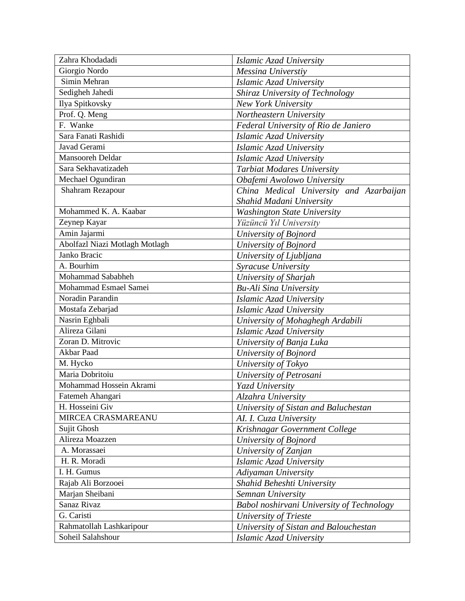| Zahra Khodadadi                | Islamic Azad University                   |
|--------------------------------|-------------------------------------------|
| Giorgio Nordo                  | Messina Universtiy                        |
| Simin Mehran                   | Islamic Azad University                   |
| Sedigheh Jahedi                | Shiraz University of Technology           |
| Ilya Spitkovsky                | <b>New York University</b>                |
| Prof. Q. Meng                  | Northeastern University                   |
| F. Wanke                       | Federal University of Rio de Janiero      |
| Sara Fanati Rashidi            | Islamic Azad University                   |
| Javad Gerami                   | Islamic Azad University                   |
| Mansooreh Deldar               | Islamic Azad University                   |
| Sara Sekhavatizadeh            | <b>Tarbiat Modares University</b>         |
| Mechael Ogundiran              | Obafemi Awolowo University                |
| Shahram Rezapour               | China Medical University and Azarbaijan   |
|                                | Shahid Madani University                  |
| Mohammed K. A. Kaabar          | <b>Washington State University</b>        |
| Zeynep Kayar                   | Yüzüncü Yıl University                    |
| Amin Jajarmi                   | University of Bojnord                     |
| Abolfazl Niazi Motlagh Motlagh | University of Bojnord                     |
| Janko Bracic                   | University of Ljubljana                   |
| A. Bourhim                     | Syracuse University                       |
| Mohammad Sababheh              | University of Sharjah                     |
| Mohammad Esmael Samei          | <b>Bu-Ali Sina University</b>             |
| Noradin Parandin               | Islamic Azad University                   |
| Mostafa Zebarjad               | Islamic Azad University                   |
| Nasrin Eghbali                 | University of Mohaghegh Ardabili          |
| Alireza Gilani                 | Islamic Azad University                   |
| Zoran D. Mitrovic              | University of Banja Luka                  |
| Akbar Paad                     | University of Bojnord                     |
| M. Hycko                       | University of Tokyo                       |
| Maria Dobritoiu                | University of Petrosani                   |
| Mohammad Hossein Akrami        | Yazd University                           |
| Fatemeh Ahangari               | Alzahra University                        |
| H. Hosseini Giv                | University of Sistan and Baluchestan      |
| MIRCEA CRASMAREANU             | AI. I. Cuza University                    |
| Sujit Ghosh                    | Krishnagar Government College             |
| Alireza Moazzen                | University of Bojnord                     |
| A. Morassaei                   | University of Zanjan                      |
| H. R. Moradi                   | Islamic Azad University                   |
| I. H. Gumus                    | Adiyaman University                       |
| Rajab Ali Borzooei             | Shahid Beheshti University                |
| Marjan Sheibani                | Semnan University                         |
| Sanaz Rivaz                    | Babol noshirvani University of Technology |
| G. Caristi                     | University of Trieste                     |
| Rahmatollah Lashkaripour       | University of Sistan and Balouchestan     |
| Soheil Salahshour              | Islamic Azad University                   |